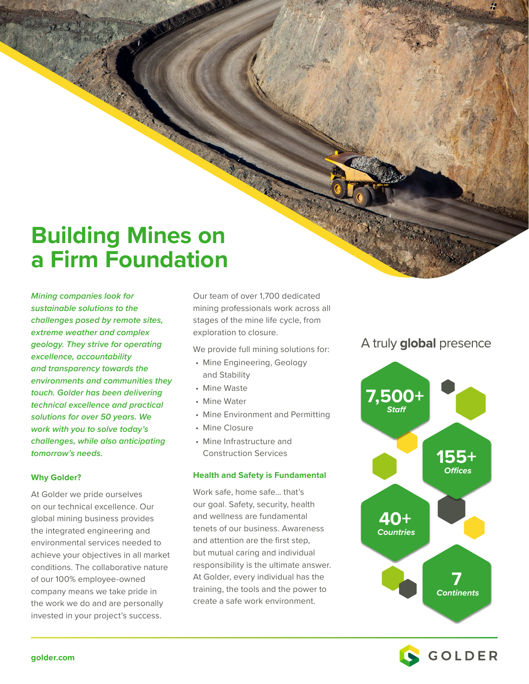# **Building Mines on a Firm Foundation**

*Mining companies look for sustainable solutions to the challenges posed by remote sites, extreme weather and complex geology. They strive for operating excellence, accountability and transparency towards the environments and communities they touch. Golder has been delivering technical excellence and practical solutions for over 50 years. We work with you to solve today's challenges, while also anticipating tomorrow's needs.*

## **Why Golder?**

At Golder we pride ourselves on our technical excellence. Our global mining business provides the integrated engineering and environmental services needed to achieve your objectives in all market conditions. The collaborative nature of our 100% employee-owned company means we take pride in the work we do and are personally invested in your project's success.

Our team of over 1,700 dedicated mining professionals work across all stages of the mine life cycle, from exploration to closure.

We provide full mining solutions for:

- Mine Engineering, Geology and Stability
- Mine Waste
- Mine Water
- Mine Environment and Permitting
- Mine Closure
- Mine Infrastructure and Construction Services

#### **Health and Safety is Fundamental**

Work safe, home safe... that's our goal. Safety, security, health and wellness are fundamental tenets of our business. Awareness and attention are the first step, but mutual caring and individual responsibility is the ultimate answer. At Golder, every individual has the training, the tools and the power to create a safe work environment.

# A truly global presence